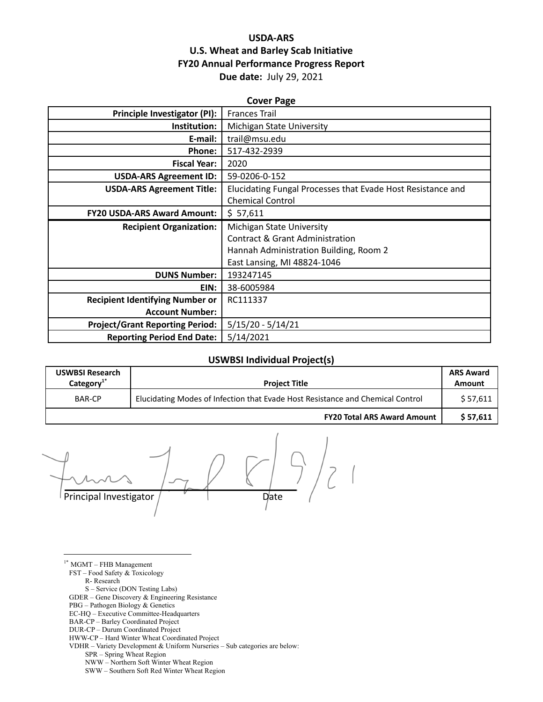## **USDA-ARS U.S. Wheat and Barley Scab Initiative FY20 Annual Performance Progress Report Due date:** July 29, 2021

| <b>Cover Page</b>                      |                                                             |  |  |
|----------------------------------------|-------------------------------------------------------------|--|--|
| Principle Investigator (PI):           | <b>Frances Trail</b>                                        |  |  |
| Institution:                           | Michigan State University                                   |  |  |
| E-mail:                                | trail@msu.edu                                               |  |  |
| <b>Phone:</b>                          | 517-432-2939                                                |  |  |
| <b>Fiscal Year:</b>                    | 2020                                                        |  |  |
| <b>USDA-ARS Agreement ID:</b>          | 59-0206-0-152                                               |  |  |
| <b>USDA-ARS Agreement Title:</b>       | Elucidating Fungal Processes that Evade Host Resistance and |  |  |
|                                        | <b>Chemical Control</b>                                     |  |  |
| <b>FY20 USDA-ARS Award Amount:</b>     | \$57,611                                                    |  |  |
| <b>Recipient Organization:</b>         | Michigan State University                                   |  |  |
|                                        | Contract & Grant Administration                             |  |  |
|                                        | Hannah Administration Building, Room 2                      |  |  |
|                                        | East Lansing, MI 48824-1046                                 |  |  |
| <b>DUNS Number:</b>                    | 193247145                                                   |  |  |
| EIN:                                   | 38-6005984                                                  |  |  |
| <b>Recipient Identifying Number or</b> | RC111337                                                    |  |  |
| <b>Account Number:</b>                 |                                                             |  |  |
| <b>Project/Grant Reporting Period:</b> | $5/15/20 - 5/14/21$                                         |  |  |
| <b>Reporting Period End Date:</b>      | 5/14/2021                                                   |  |  |

#### **USWBSI Individual Project(s)**

| <b>USWBSI Research</b><br>Category $1$ <sup>*</sup> | <b>Project Title</b>                                                           | <b>ARS Award</b><br><b>Amount</b> |
|-----------------------------------------------------|--------------------------------------------------------------------------------|-----------------------------------|
| BAR-CP                                              | Elucidating Modes of Infection that Evade Host Resistance and Chemical Control |                                   |
|                                                     | <b>FY20 Total ARS Award Amount</b>                                             | \$57,611                          |

Principal Investigator / Date

 $1*$  MGMT – FHB Management FST – Food Safety & Toxicology R- Research S – Service (DON Testing Labs) GDER – Gene Discovery & Engineering Resistance

- PBG Pathogen Biology & Genetics
- EC-HQ Executive Committee-Headquarters
- BAR-CP Barley Coordinated Project
- DUR-CP Durum Coordinated Project
- HWW-CP Hard Winter Wheat Coordinated Project
- VDHR Variety Development & Uniform Nurseries Sub categories are below:
	- SPR Spring Wheat Region
	- NWW Northern Soft Winter Wheat Region
	- SWW Southern Soft Red Winter Wheat Region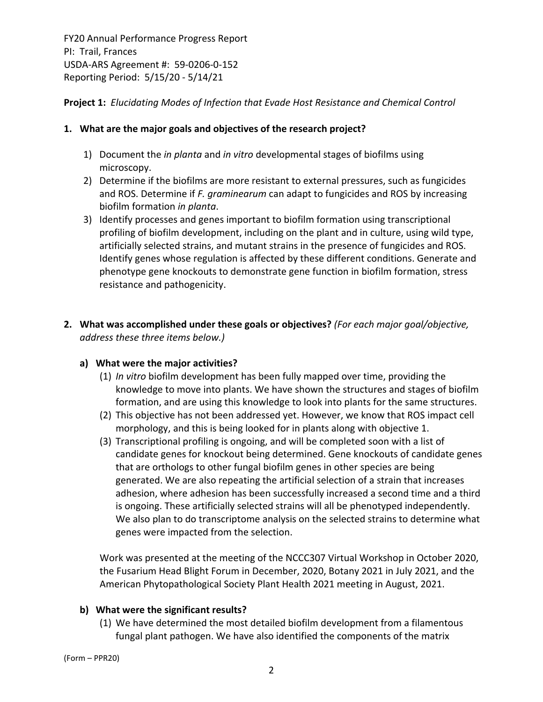**Project 1:** *Elucidating Modes of Infection that Evade Host Resistance and Chemical Control*

## **1. What are the major goals and objectives of the research project?**

- 1) Document the *in planta* and *in vitro* developmental stages of biofilms using microscopy.
- 2) Determine if the biofilms are more resistant to external pressures, such as fungicides and ROS. Determine if *F. graminearum* can adapt to fungicides and ROS by increasing biofilm formation *in planta*.
- 3) Identify processes and genes important to biofilm formation using transcriptional profiling of biofilm development, including on the plant and in culture, using wild type, artificially selected strains, and mutant strains in the presence of fungicides and ROS. Identify genes whose regulation is affected by these different conditions. Generate and phenotype gene knockouts to demonstrate gene function in biofilm formation, stress resistance and pathogenicity.
- **2. What was accomplished under these goals or objectives?** *(For each major goal/objective, address these three items below.)*

## **a) What were the major activities?**

- (1) *In vitro* biofilm development has been fully mapped over time, providing the knowledge to move into plants. We have shown the structures and stages of biofilm formation, and are using this knowledge to look into plants for the same structures.
- (2) This objective has not been addressed yet. However, we know that ROS impact cell morphology, and this is being looked for in plants along with objective 1.
- (3) Transcriptional profiling is ongoing, and will be completed soon with a list of candidate genes for knockout being determined. Gene knockouts of candidate genes that are orthologs to other fungal biofilm genes in other species are being generated. We are also repeating the artificial selection of a strain that increases adhesion, where adhesion has been successfully increased a second time and a third is ongoing. These artificially selected strains will all be phenotyped independently. We also plan to do transcriptome analysis on the selected strains to determine what genes were impacted from the selection.

Work was presented at the meeting of the NCCC307 Virtual Workshop in October 2020, the Fusarium Head Blight Forum in December, 2020, Botany 2021 in July 2021, and the American Phytopathological Society Plant Health 2021 meeting in August, 2021.

## **b) What were the significant results?**

(1) We have determined the most detailed biofilm development from a filamentous fungal plant pathogen. We have also identified the components of the matrix

(Form – PPR20)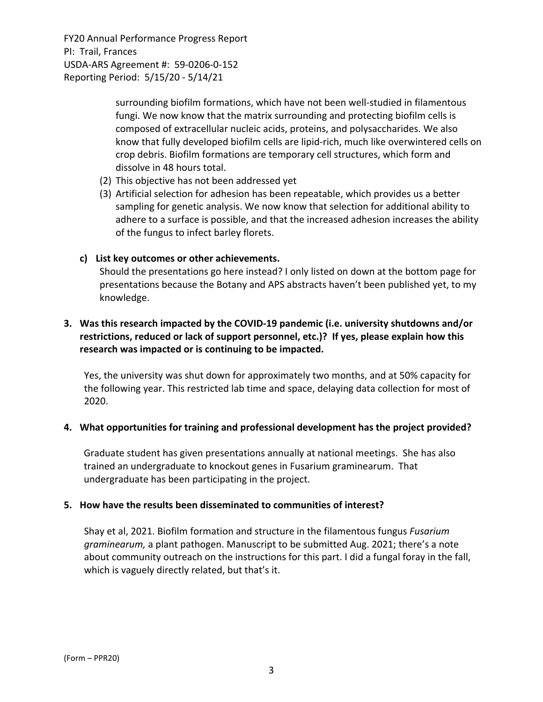> surrounding biofilm formations, which have not been well‐studied in filamentous fungi. We now know that the matrix surrounding and protecting biofilm cells is composed of extracellular nucleic acids, proteins, and polysaccharides. We also know that fully developed biofilm cells are lipid‐rich, much like overwintered cells on crop debris. Biofilm formations are temporary cell structures, which form and dissolve in 48 hours total.

- (2) This objective has not been addressed yet
- (3) Artificial selection for adhesion has been repeatable, which provides us a better sampling for genetic analysis. We now know that selection for additional ability to adhere to a surface is possible, and that the increased adhesion increases the ability of the fungus to infect barley florets.

### **c) List key outcomes or other achievements.**

Should the presentations go here instead? I only listed on down at the bottom page for presentations because the Botany and APS abstracts haven't been published yet, to my knowledge.

## **3. Was this research impacted by the COVID‐19 pandemic (i.e. university shutdowns and/or restrictions, reduced or lack of support personnel, etc.)? If yes, please explain how this research was impacted or is continuing to be impacted.**

Yes, the university was shut down for approximately two months, and at 50% capacity for the following year. This restricted lab time and space, delaying data collection for most of 2020.

## **4. What opportunities for training and professional development has the project provided?**

Graduate student has given presentations annually at national meetings. She has also trained an undergraduate to knockout genes in Fusarium graminearum. That undergraduate has been participating in the project.

#### **5. How have the results been disseminated to communities of interest?**

Shay et al, 2021. Biofilm formation and structure in the filamentous fungus *Fusarium graminearum,* a plant pathogen. Manuscript to be submitted Aug. 2021; there's a note about community outreach on the instructions for this part. I did a fungal foray in the fall, which is vaguely directly related, but that's it.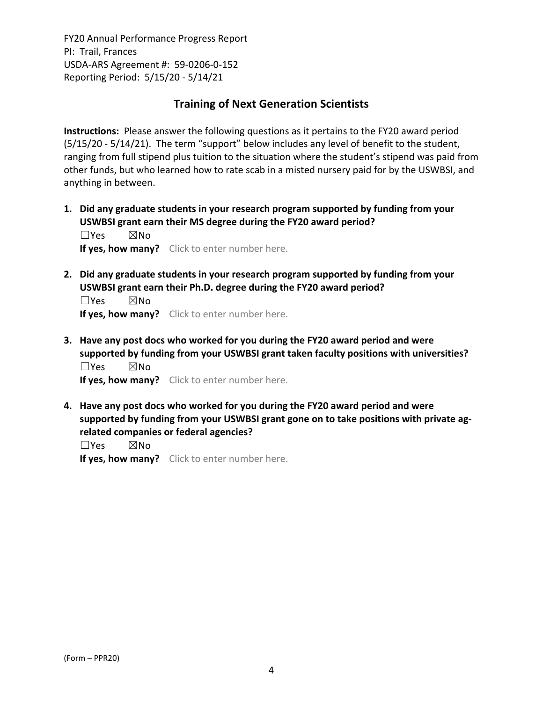## **Training of Next Generation Scientists**

**Instructions:** Please answer the following questions as it pertains to the FY20 award period (5/15/20 ‐ 5/14/21). The term "support" below includes any level of benefit to the student, ranging from full stipend plus tuition to the situation where the student's stipend was paid from other funds, but who learned how to rate scab in a misted nursery paid for by the USWBSI, and anything in between.

**1. Did any graduate students in your research program supported by funding from your USWBSI grant earn their MS degree during the FY20 award period?** ☐Yes ☒No

**If yes, how many?** Click to enter number here.

**2. Did any graduate students in your research program supported by funding from your USWBSI grant earn their Ph.D. degree during the FY20 award period?**

☐Yes ☒No **If yes, how many?** Click to enter number here.

**3. Have any post docs who worked for you during the FY20 award period and were supported by funding from your USWBSI grant taken faculty positions with universities?** ☐Yes ☒No

**If yes, how many?** Click to enter number here.

**4. Have any post docs who worked for you during the FY20 award period and were supported by funding from your USWBSI grant gone on to take positions with private ag‐ related companies or federal agencies?**

☐Yes ☒No

**If yes, how many?** Click to enter number here.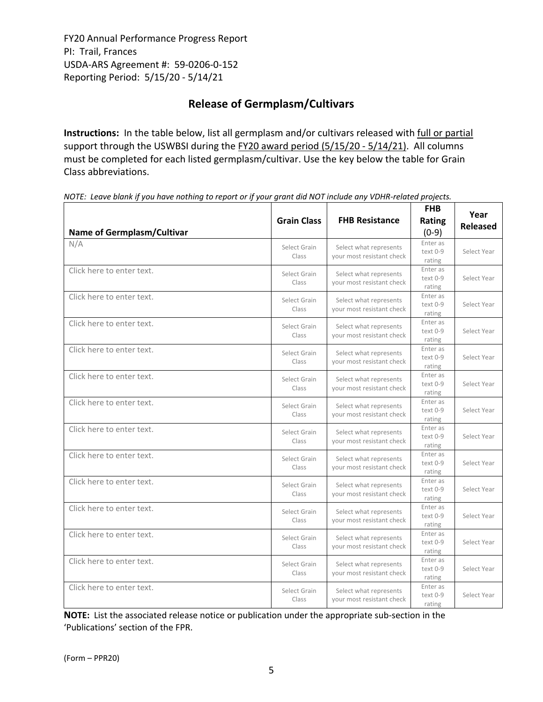# **Release of Germplasm/Cultivars**

**Instructions:** In the table below, list all germplasm and/or cultivars released with full or partial support through the USWBSI during the FY20 award period (5/15/20 - 5/14/21). All columns must be completed for each listed germplasm/cultivar. Use the key below the table for Grain Class abbreviations. 

| <b>Name of Germplasm/Cultivar</b> | <b>Grain Class</b>    | <b>FHB Resistance</b>                               | <b>FHB</b><br>Rating<br>$(0-9)$  | Year<br><b>Released</b> |
|-----------------------------------|-----------------------|-----------------------------------------------------|----------------------------------|-------------------------|
| N/A                               | Select Grain<br>Class | Select what represents<br>your most resistant check | Enter as<br>text 0-9<br>rating   | Select Year             |
| Click here to enter text.         | Select Grain<br>Class | Select what represents<br>your most resistant check | Enter as<br>text 0-9<br>rating   | Select Year             |
| Click here to enter text.         | Select Grain<br>Class | Select what represents<br>your most resistant check | Enter as<br>text 0-9<br>rating   | Select Year             |
| Click here to enter text.         | Select Grain<br>Class | Select what represents<br>your most resistant check | Enter as<br>text 0-9<br>rating   | Select Year             |
| Click here to enter text.         | Select Grain<br>Class | Select what represents<br>your most resistant check | Enter as<br>text 0-9<br>rating   | Select Year             |
| Click here to enter text.         | Select Grain<br>Class | Select what represents<br>your most resistant check | Enter as<br>text 0-9<br>rating   | Select Year             |
| Click here to enter text.         | Select Grain<br>Class | Select what represents<br>your most resistant check | Enter as<br>$text 0-9$<br>rating | Select Year             |
| Click here to enter text.         | Select Grain<br>Class | Select what represents<br>your most resistant check | Enter as<br>text 0-9<br>rating   | Select Year             |
| Click here to enter text.         | Select Grain<br>Class | Select what represents<br>your most resistant check | Enter as<br>text 0-9<br>rating   | Select Year             |
| Click here to enter text.         | Select Grain<br>Class | Select what represents<br>your most resistant check | Enter as<br>text 0-9<br>rating   | Select Year             |
| Click here to enter text.         | Select Grain<br>Class | Select what represents<br>your most resistant check | Enter as<br>text 0-9<br>rating   | Select Year             |
| Click here to enter text.         | Select Grain<br>Class | Select what represents<br>your most resistant check | Enter as<br>text 0-9<br>rating   | Select Year             |
| Click here to enter text.         | Select Grain<br>Class | Select what represents<br>your most resistant check | Enter as<br>text 0-9<br>rating   | Select Year             |
| Click here to enter text.         | Select Grain<br>Class | Select what represents<br>your most resistant check | Enter as<br>text 0-9<br>rating   | Select Year             |

NOTE: Leave blank if you have nothing to report or if your grant did NOT include any VDHR-related projects.

**NOTE:** List the associated release notice or publication under the appropriate sub-section in the 'Publications' section of the FPR.